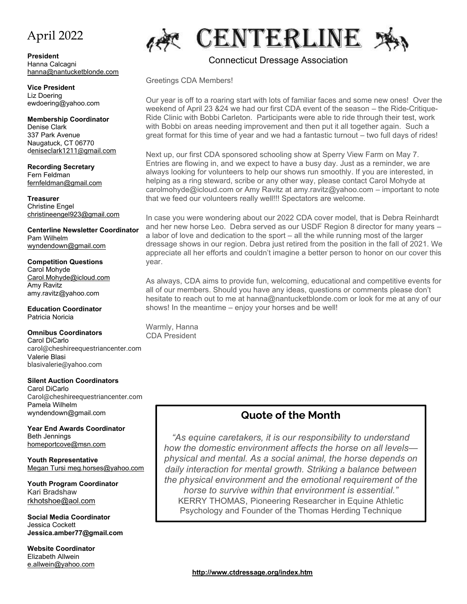# April 2022

**President** Hanna Calcagni [hanna@nantucketblonde.com](mailto:hanna@nantucketblonde.com)

**Vice President** Liz Doering ewdoering@yahoo.com

**Membership Coordinator** Denise Clark 337 Park Avenue Naugatuck, CT 06770 [deniseclark1211@gmail.com](mailto:eniseclark1211@gmail.com)

**Recording Secretary** Fern Feldman [fernfeldman@gmail.com](mailto:fernfeldman@gmail.com)

**Treasurer** Christine Engel christineengel923@gmail.com

**Centerline Newsletter Coordinator** Pam Wilhelm [wyndendown@gmail.com](mailto:wyndendown@gmail.com)

**Competition Questions** Carol Mohyde [Carol.Mohyde@icloud.com](mailto:Carol.Mohyde@icloud.com) Amy Ravitz amy.ravitz@yahoo.com

**Education Coordinator** Patricia Noricia

#### **Omnibus Coordinators**

Carol DiCarlo carol@cheshireequestriancenter.com Valerie Blasi blasivalerie@yahoo.com

**Silent Auction Coordinators** Carol DiCarlo Carol@cheshireequestriancenter.com Pamela Wilhelm wyndendown@gmail.com

**Year End Awards Coordinator** Beth Jennings [homeportcove@msn.com](mailto:homeportcove@msn.com)

**Youth Representative** Megan Tursi meg.horses@yahoo.com

**Youth Program Coordinator** Kari Bradshaw [rkhotshoe@aol.com](mailto:rkhotshoe@aol.com)

**Social Media Coordinator** Jessica Cockett **Jessica.amber77@gmail.com**

**Website Coordinator** Elizabeth Allwein e.allwein@yahoo.com



#### [Connecticut Dressage Association](https://www.ctdressage.com/)

Greetings CDA Members!

Our year is off to a roaring start with lots of familiar faces and some new ones! Over the weekend of April 23 &24 we had our first CDA event of the season – the Ride-Critique-Ride Clinic with Bobbi Carleton. Participants were able to ride through their test, work with Bobbi on areas needing improvement and then put it all together again. Such a great format for this time of year and we had a fantastic turnout – two full days of rides!

Next up, our first CDA sponsored schooling show at Sperry View Farm on May 7. Entries are flowing in, and we expect to have a busy day. Just as a reminder, we are always looking for volunteers to help our shows run smoothly. If you are interested, in helping as a ring steward, scribe or any other way, please contact Carol Mohyde at carolmohyde@icloud.com or Amy Ravitz at amy.ravitz@yahoo.com – important to note that we feed our volunteers really well!!! Spectators are welcome.

In case you were wondering about our 2022 CDA cover model, that is Debra Reinhardt and her new horse Leo. Debra served as our USDF Region 8 director for many years – a labor of love and dedication to the sport – all the while running most of the larger dressage shows in our region. Debra just retired from the position in the fall of 2021. We appreciate all her efforts and couldn't imagine a better person to honor on our cover this year.

As always, CDA aims to provide fun, welcoming, educational and competitive events for all of our members. Should you have any ideas, questions or comments please don't hesitate to reach out to me at hanna@nantucketblonde.com or look for me at any of our shows! In the meantime – enjoy your horses and be well!

Warmly, Hanna CDA President

### **Quote of the Month**

*"As equine caretakers, it is our responsibility to understand how the domestic environment affects the horse on all levels physical and mental. As a social animal, the horse depends on daily interaction for mental growth. Striking a balance between the physical environment and the emotional requirement of the horse to survive within that environment is essential."* KERRY THOMAS, Pioneering Researcher in Equine Athletic Psychology and Founder of the Thomas Herding Technique

**<http://www.ctdressage.org/index.htm>**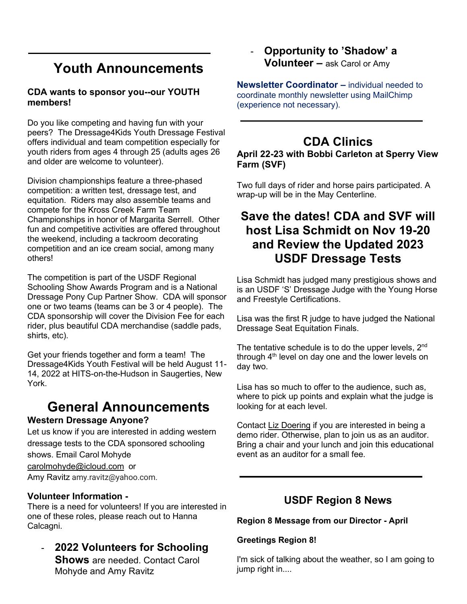# **Youth Announcements**

#### **CDA wants to sponsor you--our YOUTH members!**

Do you like competing and having fun with your peers? The Dressage4Kids Youth Dressage Festival offers individual and team competition especially for youth riders from ages 4 through 25 (adults ages 26 and older are welcome to volunteer).

Division championships feature a three-phased competition: a written test, dressage test, and equitation. Riders may also assemble teams and compete for the Kross Creek Farm Team Championships in honor of Margarita Serrell. Other fun and competitive activities are offered throughout the weekend, including a tackroom decorating competition and an ice cream social, among many others!

The competition is part of the USDF Regional Schooling Show Awards Program and is a National Dressage Pony Cup Partner Show. CDA will sponsor one or two teams (teams can be 3 or 4 people). The CDA sponsorship will cover the Division Fee for each rider, plus beautiful CDA merchandise (saddle pads, shirts, etc).

Get your friends together and form a team! The Dressage4Kids Youth Festival will be held August 11- 14, 2022 at HITS-on-the-Hudson in Saugerties, New York.

# **General Announcements**

#### **Western Dressage Anyone?**

Let us know if you are interested in adding western dressage tests to the CDA sponsored schooling shows. Email Carol Mohyde [carolmohyde@icloud.com](mailto:carolmohyde@icloud.com) or Amy Ravitz amy.ravitz@yahoo.com.

#### **Volunteer Information -**

There is a need for volunteers! If you are interested in one of these roles, please reach out to Hanna Calcagni.

- **2022 Volunteers for Schooling Shows** are needed. Contact Carol Mohyde and Amy Ravitz

### - **Opportunity to 'Shadow' a Volunteer –** ask Carol or Amy

**Newsletter Coordinator –** individual needed to coordinate monthly newsletter using MailChimp (experience not necessary).

# **CDA Clinics**

**April 22-23 with Bobbi Carleton at Sperry View Farm (SVF)**

Two full days of rider and horse pairs participated. A wrap-up will be in the May Centerline.

# **Save the dates! CDA and SVF will host Lisa Schmidt on Nov 19-20 and Review the Updated 2023 USDF Dressage Tests**

Lisa Schmidt has judged many prestigious shows and is an USDF 'S' Dressage Judge with the Young Horse and Freestyle Certifications.

Lisa was the first R judge to have judged the National Dressage Seat Equitation Finals.

The tentative schedule is to do the upper levels,  $2<sup>nd</sup>$ through  $4<sup>th</sup>$  level on day one and the lower levels on day two.

Lisa has so much to offer to the audience, such as, where to pick up points and explain what the judge is looking for at each level.

Contact [Liz Doering](mailto:ewdoering@yahoo.com) if you are interested in being a demo rider. Otherwise, plan to join us as an auditor. Bring a chair and your lunch and join this educational event as an auditor for a small fee.

# **USDF Region 8 News**

#### **Region 8 Message from our Director - April**

#### **Greetings Region 8!**

I'm sick of talking about the weather, so I am going to jump right in....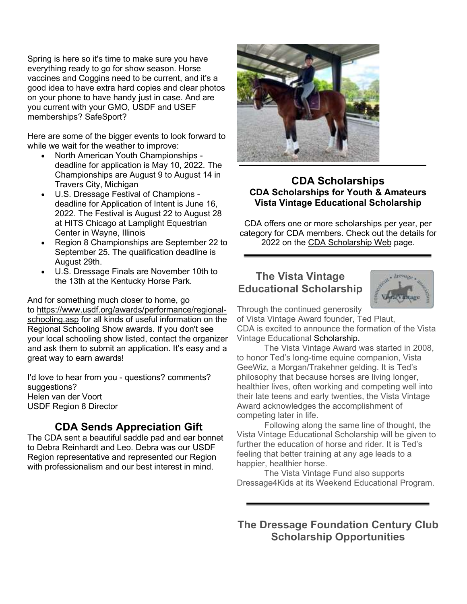Spring is here so it's time to make sure you have everything ready to go for show season. Horse vaccines and Coggins need to be current, and it's a good idea to have extra hard copies and clear photos on your phone to have handy just in case. And are you current with your GMO, USDF and USEF memberships? SafeSport?

Here are some of the bigger events to look forward to while we wait for the weather to improve:

- North American Youth Championships deadline for application is May 10, 2022. The Championships are August 9 to August 14 in Travers City, Michigan
- U.S. Dressage Festival of Champions deadline for Application of Intent is June 16, 2022. The Festival is August 22 to August 28 at HITS Chicago at Lamplight Equestrian Center in Wayne, Illinois
- Region 8 Championships are September 22 to September 25. The qualification deadline is August 29th.
- U.S. Dressage Finals are November 10th to the 13th at the Kentucky Horse Park.

And for something much closer to home, go to [https://www.usdf.org/awards/performance/regional](https://www.usdf.org/awards/performance/regional-schooling.asp)[schooling.asp](https://www.usdf.org/awards/performance/regional-schooling.asp) for all kinds of useful information on the Regional Schooling Show awards. If you don't see your local schooling show listed, contact the organizer and ask them to submit an application. It's easy and a great way to earn awards!

I'd love to hear from you - questions? comments? suggestions? Helen van der Voort USDF Region 8 Director

### **CDA Sends Appreciation Gift**

The CDA sent a beautiful saddle pad and ear bonnet to Debra Reinhardt and Leo. Debra was our USDF Region representative and represented our Region with professionalism and our best interest in mind.



#### **[CDA Scholarships](http://www.ctdressageassoc.org/Scholarships.html) CDA Scholarships for Youth & Amateurs Vista Vintage Educational Scholarship**

CDA offers one or more scholarships per year, per category for CDA members. Check out the details for 2022 on the [CDA Scholarship Web](https://www.ctdressage.org/year-end-awards/) page.

#### **The Vista Vintage Educational Scholarship**



Through the continued generosity of Vista Vintage Award founder, Ted Plaut,

CDA is excited to announce the formation of the Vista Vintage Educational Scholarship.

The Vista Vintage Award was started in 2008, to honor Ted's long-time equine companion, Vista GeeWiz, a Morgan/Trakehner gelding. It is Ted's philosophy that because horses are living longer, healthier lives, often working and competing well into their late teens and early twenties, the Vista Vintage Award acknowledges the accomplishment of competing later in life.

Following along the same line of thought, the Vista Vintage Educational Scholarship will be given to further the education of horse and rider. It is Ted's feeling that better training at any age leads to a happier, healthier horse.

The Vista Vintage Fund also supports Dressage4Kids at its Weekend Educational Program.

**The Dressage Foundation Century Club Scholarship Opportunities**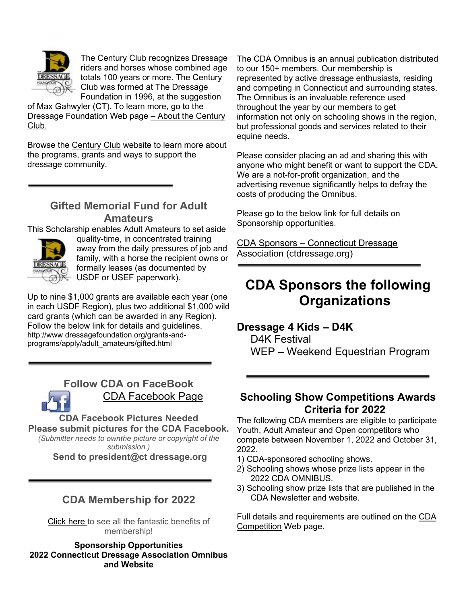

The Century Club recognizes Dressage riders and horses whose combined age totals 100 years or more. The Century Club was formed at The Dressage Foundation in 1996, at the suggestion

of Max Gahwyler (CT). To learn more, go to the Dressage Foundation Web page – [About the Century](https://www.dressagefoundation.org/grants-and-programs/century-club/)  [Club.](https://www.dressagefoundation.org/grants-and-programs/century-club/)

Browse the [Century Club](https://www.dressagefoundation.org/grants-and-programs/century-club/) website to learn more about the programs, grants and ways to support the dressage community.

#### **Gifted Memorial Fund for Adult Amateurs**

This Scholarship enables Adult Amateurs to set aside



quality-time, in concentrated training away from the daily pressures of job and family, with a horse the recipient owns or formally leases (as documented by USDF or USEF paperwork).

Up to nine \$1,000 grants are available each year (one in each USDF Region), plus two additional \$1,000 wild card grants (which can be awarded in any Region). Follow the below link for details and guidelines. http://www.dressagefoundation.org/grants-andprograms/apply/adult\_amateurs/gifted.html



**Follow CDA on FaceBook** [CDA Facebook Page](https://www.facebook.com/groups/107493737335/)

**CDA Facebook Pictures Needed Please submit pictures for the CDA Facebook.**

*(Submitter needs to ownthe picture or copyright of the submission.)*

**Send to president@ct dressage.org**

### **CDA Membership for 2022**

[Click here](https://www.ctdressage.org/membership/) to see all the fantastic benefits of membership!

**Sponsorship Opportunities 2022 Connecticut Dressage Association Omnibus and Website**

The CDA Omnibus is an annual publication distributed to our 150+ members. Our membership is represented by active dressage enthusiasts, residing and competing in Connecticut and surrounding states. The Omnibus is an invaluable reference used throughout the year by our members to get information not only on schooling shows in the region, but professional goods and services related to their equine needs.

Please consider placing an ad and sharing this with anyone who might benefit or want to support the CDA. We are a not-for-profit organization, and the advertising revenue significantly helps to defray the costs of producing the Omnibus.

Please go to the below link for full details on Sponsorship opportunities.

CDA Sponsors – [Connecticut Dressage](https://www.ctdressage.org/cda-sponsors/)  [Association \(ctdressage.org\)](https://www.ctdressage.org/cda-sponsors/)

# **CDA Sponsors the following Organizations**

#### **Dressage 4 Kids – D4K**

D4K Festival WEP – Weekend Equestrian Program

#### **Schooling Show Competitions Awards Criteria for 2022**

The following CDA members are eligible to participate Youth, Adult Amateur and Open competitors who compete between November 1, 2022 and October 31, 2022.

- 1) CDA-sponsored schooling shows.
- 2) Schooling shows whose prize lists appear in the 2022 CDA OMNIBUS.
- 3) Schooling show prize lists that are published in the CDA Newsletter and website.

Full details and requirements are outlined on the [CDA](https://www.ctdressage.org/schooling-shows/)  [Competition](https://www.ctdressage.org/schooling-shows/) Web page.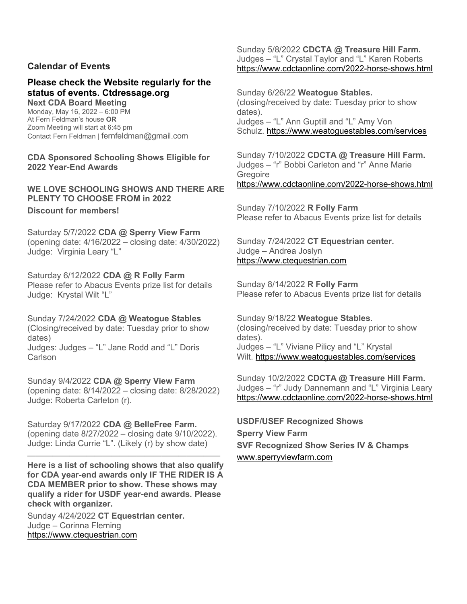#### **Calendar of Events**

#### **Please check the Website regularly for the status of events. Ctdressage.org**

**Next CDA Board Meeting** Monday, May 16, 2022 – 6:00 PM At Fern Feldman's house **OR** Zoom Meeting will start at 6:45 pm Contact Fern Feldman | [fernfeldman@g](mailto:fernfeldman@)mail.com

**CDA Sponsored Schooling Shows Eligible for 2022 Year-End Awards**

**WE LOVE SCHOOLING SHOWS AND THERE ARE PLENTY TO CHOOSE FROM in 2022 Discount for members!**

Saturday 5/7/2022 **CDA @ Sperry View Farm** (opening date: 4/16/2022 – closing date: 4/30/2022) Judge: Virginia Leary "L"

Saturday 6/12/2022 **CDA @ R Folly Farm** Please refer to Abacus Events prize list for details Judge: Krystal Wilt "L"

Sunday 7/24/2022 **CDA @ Weatogue Stables** (Closing/received by date: Tuesday prior to show dates) Judges: Judges – "L" Jane Rodd and "L" Doris Carlson

Sunday 9/4/2022 **CDA @ Sperry View Farm** (opening date: 8/14/2022 – closing date: 8/28/2022) Judge: Roberta Carleton (r).

Saturday 9/17/2022 **CDA @ BelleFree Farm.** (opening date 8/27/2022 – closing date 9/10/2022). Judge: Linda Currie "L". (Likely (r) by show date)

——————————————————————— **Here is a list of schooling shows that also qualify for CDA year-end awards only IF THE RIDER IS A CDA MEMBER prior to show. These shows may qualify a rider for USDF year-end awards. Please check with organizer.**

Sunday 4/24/2022 **CT Equestrian center.** Judge – Corinna Fleming [https://www.ctequestrian.com](https://www.ctequestrian.com/)

Sunday 5/8/2022 **CDCTA @ Treasure Hill Farm.** Judges – "L" Crystal Taylor and "L" Karen Roberts <https://www.cdctaonline.com/2022-horse-shows.html>

Sunday 6/26/22 **Weatogue Stables.** (closing/received by date: Tuesday prior to show dates). Judges – "L" Ann Guptill and "L" Amy Von Schulz. <https://www.weatoguestables.com/services>

Sunday 7/10/2022 **CDCTA @ Treasure Hill Farm.** Judges – "r" Bobbi Carleton and "r" Anne Marie **Gregoire** <https://www.cdctaonline.com/2022-horse-shows.html>

Sunday 7/10/2022 **R Folly Farm** Please refer to Abacus Events prize list for details

Sunday 7/24/2022 **CT Equestrian center.** Judge – Andrea Joslyn [https://www.ctequestrian.com](https://www.ctequestrian.com/)

Sunday 8/14/2022 **R Folly Farm** Please refer to Abacus Events prize list for details

Sunday 9/18/22 **Weatogue Stables.** (closing/received by date: Tuesday prior to show dates). Judges – "L" Viviane Pilicy and "L" Krystal Wilt. <https://www.weatoguestables.com/services>

Sunday 10/2/2022 **CDCTA @ Treasure Hill Farm.** Judges – "r" Judy Dannemann and "L" Virginia Leary <https://www.cdctaonline.com/2022-horse-shows.html>

**USDF/USEF Recognized Shows Sperry View Farm SVF Recognized Show Series IV & Champs** [www.sperryviewfarm.com](http://www.sperryviewfarm.com/)